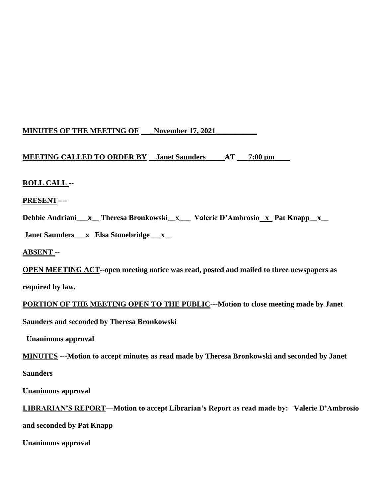## **MINUTES OF THE MEETING OF \_November 17, 2021\_\_\_\_\_\_\_\_\_\_\_**

# **MEETING CALLED TO ORDER BY \_\_Janet Saunders\_\_\_\_\_AT \_\_\_7:00 pm\_\_\_\_**

## **ROLL CALL --**

**PRESENT----**

Debbie Andriani\_\_x\_\_ Theresa Bronkowski\_x\_\_\_ Valerie D'Ambrosio\_x\_ Pat Knapp\_x\_\_

**Janet Saunders\_\_\_x Elsa Stonebridge\_\_\_x\_\_** 

**ABSENT --** 

**OPEN MEETING ACT--open meeting notice was read, posted and mailed to three newspapers as** 

**required by law.**

**PORTION OF THE MEETING OPEN TO THE PUBLIC---Motion to close meeting made by Janet** 

**Saunders and seconded by Theresa Bronkowski**

 **Unanimous approval**

**MINUTES ---Motion to accept minutes as read made by Theresa Bronkowski and seconded by Janet** 

**Saunders** 

**Unanimous approval**

**LIBRARIAN'S REPORT—Motion to accept Librarian's Report as read made by: Valerie D'Ambrosio and seconded by Pat Knapp**

**Unanimous approval**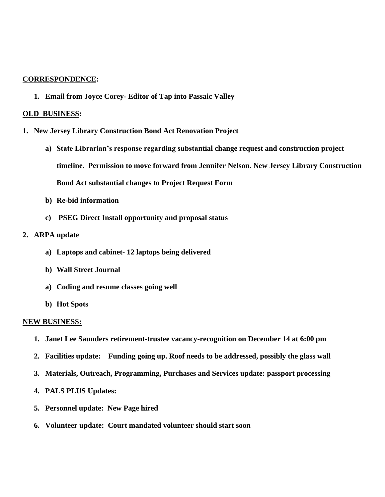#### **CORRESPONDENCE:**

**1. Email from Joyce Corey- Editor of Tap into Passaic Valley**

#### **OLD BUSINESS:**

- **1. New Jersey Library Construction Bond Act Renovation Project**
	- **a) State Librarian's response regarding substantial change request and construction project timeline. Permission to move forward from Jennifer Nelson. New Jersey Library Construction Bond Act substantial changes to Project Request Form**
	- **b) Re-bid information**
	- **c) PSEG Direct Install opportunity and proposal status**

#### **2. ARPA update**

- **a) Laptops and cabinet- 12 laptops being delivered**
- **b) Wall Street Journal**
- **a) Coding and resume classes going well**
- **b) Hot Spots**

#### **NEW BUSINESS:**

- **1. Janet Lee Saunders retirement-trustee vacancy-recognition on December 14 at 6:00 pm**
- **2. Facilities update: Funding going up. Roof needs to be addressed, possibly the glass wall**
- **3. Materials, Outreach, Programming, Purchases and Services update: passport processing**
- **4. PALS PLUS Updates:**
- **5. Personnel update: New Page hired**
- **6. Volunteer update: Court mandated volunteer should start soon**